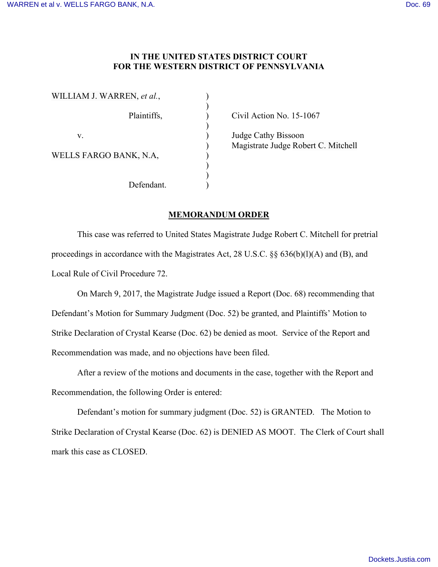## **IN THE UNITED STATES DISTRICT COURT FOR THE WESTERN DISTRICT OF PENNSYLVANIA**

| WILLIAM J. WARREN, et al., |  |
|----------------------------|--|
| Plaintiffs,                |  |
| V.                         |  |
| WELLS FARGO BANK, N.A.     |  |
| Defendant.                 |  |

 $\rho$  Civil Action No. 15-1067

) Judge Cathy Bissoon ) Magistrate Judge Robert C. Mitchell

## **MEMORANDUM ORDER**

This case was referred to United States Magistrate Judge Robert C. Mitchell for pretrial proceedings in accordance with the Magistrates Act, 28 U.S.C. §§ 636(b)(l)(A) and (B), and Local Rule of Civil Procedure 72.

On March 9, 2017, the Magistrate Judge issued a Report (Doc. 68) recommending that Defendant's Motion for Summary Judgment (Doc. 52) be granted, and Plaintiffs' Motion to Strike Declaration of Crystal Kearse (Doc. 62) be denied as moot. Service of the Report and Recommendation was made, and no objections have been filed.

After a review of the motions and documents in the case, together with the Report and Recommendation, the following Order is entered:

Defendant's motion for summary judgment (Doc. 52) is GRANTED. The Motion to Strike Declaration of Crystal Kearse (Doc. 62) is DENIED AS MOOT. The Clerk of Court shall mark this case as CLOSED.